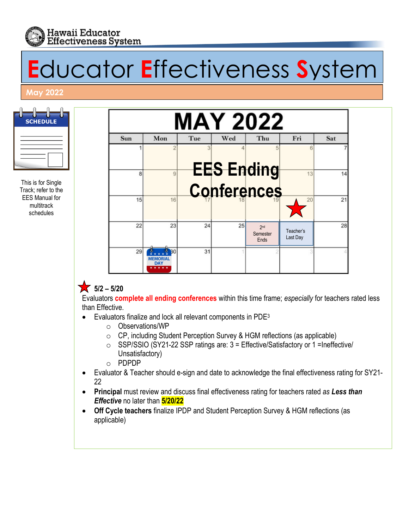

# **E**ducator **E**ffectiveness **S**ystem

#### **May 2022**

| <b>SCHEDULE</b> |
|-----------------|
|                 |
|                 |

This is for Single Track; refer to the EES Manual for multitrack schedules



# $\sqrt{5/2} - \frac{5}{20}$

Evaluators **complete all ending conferences** within this time frame; *especially* for teachers rated less than Effective.

- Evaluators finalize and lock all relevant components in PDE3
	- o Observations/WP
	- o CP, including Student Perception Survey & HGM reflections (as applicable)
	- o SSP/SSIO (SY21-22 SSP ratings are: 3 = Effective/Satisfactory or 1 =Ineffective/ Unsatisfactory)
	- o PDPDP
- Evaluator & Teacher should e-sign and date to acknowledge the final effectiveness rating for SY21- 22
- **Principal** must review and discuss final effectiveness rating for teachers rated *as Less than Effective* no later than **5/20/22**
- **Off Cycle teachers** finalize IPDP and Student Perception Survey & HGM reflections (as applicable)